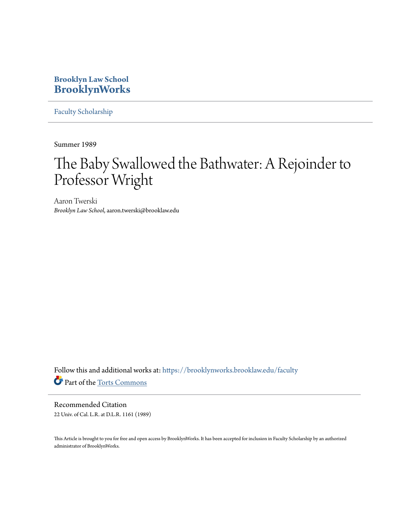## **Brooklyn Law School [BrooklynWorks](https://brooklynworks.brooklaw.edu?utm_source=brooklynworks.brooklaw.edu%2Ffaculty%2F701&utm_medium=PDF&utm_campaign=PDFCoverPages)**

[Faculty Scholarship](https://brooklynworks.brooklaw.edu/faculty?utm_source=brooklynworks.brooklaw.edu%2Ffaculty%2F701&utm_medium=PDF&utm_campaign=PDFCoverPages)

Summer 1989

## The Baby Swallowed the Bathwater: A Rejoinder to Professor Wright

Aaron Twerski *Brooklyn Law School*, aaron.twerski@brooklaw.edu

Follow this and additional works at: [https://brooklynworks.brooklaw.edu/faculty](https://brooklynworks.brooklaw.edu/faculty?utm_source=brooklynworks.brooklaw.edu%2Ffaculty%2F701&utm_medium=PDF&utm_campaign=PDFCoverPages) Part of the [Torts Commons](http://network.bepress.com/hgg/discipline/913?utm_source=brooklynworks.brooklaw.edu%2Ffaculty%2F701&utm_medium=PDF&utm_campaign=PDFCoverPages)

Recommended Citation 22 Univ. of Cal. L.R. at D.L.R. 1161 (1989)

This Article is brought to you for free and open access by BrooklynWorks. It has been accepted for inclusion in Faculty Scholarship by an authorized administrator of BrooklynWorks.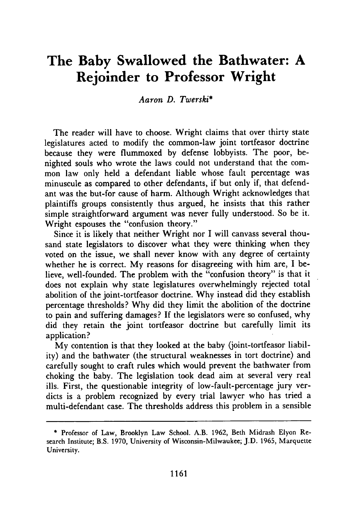## **The Baby Swallowed the Bathwater: A Rejoinder to Professor Wright**

*Aaron D. Twerski\**

The reader will have to choose. Wright claims that over thirty state legislatures acted to modify the common-law joint tortfeasor doctrine because they were flummoxed **by** defense lobbyists. The poor, benighted souls who wrote the laws could not understand that the common law only held a defendant liable whose fault percentage was minuscule as compared to other defendants, if but only if, that defendant was the but-for cause of harm. Although Wright acknowledges that plaintiffs groups consistently thus argued, he insists that this rather simple straightforward argument was never fully understood. So be it. Wright espouses the "confusion theory."

Since it is likely that neither Wright nor I will canvass several thousand state legislators to discover what they were thinking when they voted on the issue, we shall never know with any degree of certainty whether he is correct. My reasons for disagreeing with him are, I believe, well-founded. The problem with the "confusion theory" is that it does not explain why state legislatures overwhelmingly rejected total abolition of the joint-tortfeasor doctrine. **Why** instead did they establish percentage thresholds? **Why** did they limit the abolition of the doctrine to pain and suffering damages? **If** the legislators were so confused, why did they retain the joint tortfeasor doctrine but carefully limit its application?

My contention is that they looked at the baby (joint-tortfeasor liability) and the bathwater (the structural weaknesses in tort doctrine) and carefully sought to craft rules which would prevent the bathwater from choking the baby. The legislation took dead aim at several very real ills. First, the questionable integrity of low-fault-percentage jury verdicts is a problem recognized **by** every trial lawyer who has tried a multi-defendant case. The thresholds address this problem in a sensible

**<sup>\*</sup>** Professor of Law, Brooklyn Law School. A.B. 1962, Beth Midrash Elyon Research Institute; B.S. 1970, University of Wisconsin-Milwaukee; J.D. 1965, Marquette University.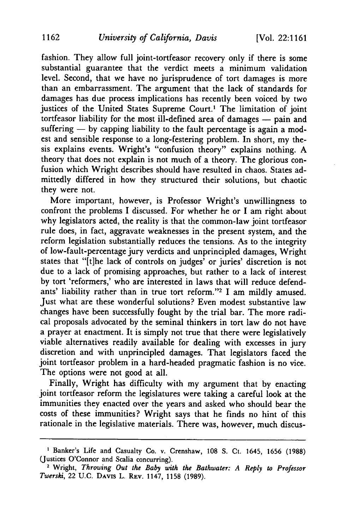fashion. They allow full joint-tortfeasor recovery only if there is some substantial guarantee that the verdict meets a minimum validation level. Second, that we have no jurisprudence of tort damages is more than an embarrassment. The argument that the lack of standards for damages has due process implications has recently been voiced by two justices of the United States Supreme Court.<sup>1</sup> The limitation of joint tortfeasor liability for the most ill-defined area of damages  $-$  pain and suffering  $-$  by capping liability to the fault percentage is again a modest and sensible response to a long-festering problem. In short, my thesis explains events. Wright's "confusion theory" explains nothing. A theory that does not explain is not much of a theory. The glorious confusion which Wright describes should have resulted in chaos. States admittedly differed in how they structured their solutions, but chaotic they were not.

More important, however, is Professor Wright's unwillingness to confront the problems I discussed. For whether he or I am right about why legislators acted, the reality is that the common-law joint tortfeasor rule does, in fact, aggravate weaknesses in the present system, and the reform legislation substantially reduces the tensions. As to the integrity of low-fault-percentage jury verdicts and unprincipled damages, Wright states that "[t]he lack of controls on judges' or juries' discretion is not due to a lack of promising approaches, but rather to a lack of interest by tort 'reformers,' who are interested in laws that will reduce defendants' liability rather than in true tort reform."<sup>2</sup> I am mildly amused. Just what are these wonderful solutions? Even modest substantive law changes have been successfully fought by the trial bar. The more radical proposals advocated by the seminal thinkers in tort law do not have a prayer at enactment. It is simply not true that there were legislatively viable alternatives readily available for dealing with excesses in jury discretion and with unprincipled damages. That legislators faced the joint tortfeasor problem in a hard-headed pragmatic fashion is no vice. The options were not good at all.

Finally, Wright has difficulty with my argument that by enacting joint tortfeasor reform the legislatures were taking a careful look at the immunities they enacted over the years and asked who should bear the costs of these immunities? Wright says that he finds no hint of this rationale in the legislative materials. There was, however, much discus-

<sup>&</sup>lt;sup>1</sup> Banker's Life and Casualty Co. v. Crenshaw, 108 S. Ct. 1645, 1656 (1988) (Justices O'Connor and Scalia concurring).

<sup>2</sup> Wright, *Throwing Out the Baby with the Bathwater: A Reply to Professor Twerski,* 22 U.C. DAVIS L. REV. 1147, 1158 (1989).